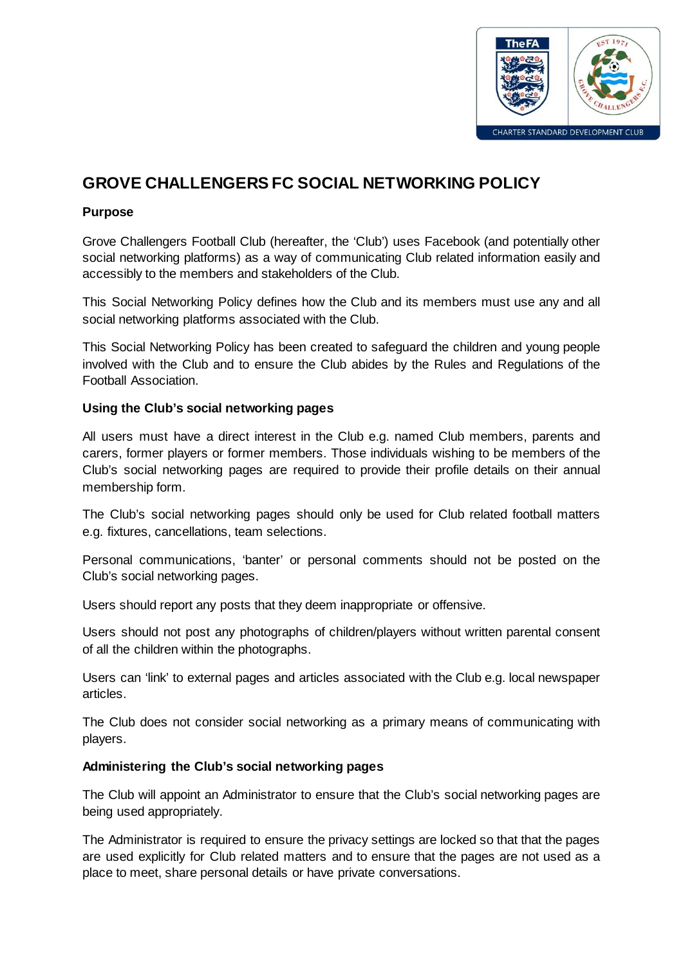

# **GROVE CHALLENGERS FC SOCIAL NETWORKING POLICY**

## **Purpose**

Grove Challengers Football Club (hereafter, the 'Club') uses Facebook (and potentially other social networking platforms) as a way of communicating Club related information easily and accessibly to the members and stakeholders of the Club.

This Social Networking Policy defines how the Club and its members must use any and all social networking platforms associated with the Club.

This Social Networking Policy has been created to safeguard the children and young people involved with the Club and to ensure the Club abides by the Rules and Regulations of the Football Association.

### **Using the Club's social networking pages**

All users must have a direct interest in the Club e.g. named Club members, parents and carers, former players or former members. Those individuals wishing to be members of the Club's social networking pages are required to provide their profile details on their annual membership form.

The Club's social networking pages should only be used for Club related football matters e.g. fixtures, cancellations, team selections.

Personal communications, 'banter' or personal comments should not be posted on the Club's social networking pages.

Users should report any posts that they deem inappropriate or offensive.

Users should not post any photographs of children/players without written parental consent of all the children within the photographs.

Users can 'link' to external pages and articles associated with the Club e.g. local newspaper articles.

The Club does not consider social networking as a primary means of communicating with players.

## **Administering the Club's social networking pages**

The Club will appoint an Administrator to ensure that the Club's social networking pages are being used appropriately.

The Administrator is required to ensure the privacy settings are locked so that that the pages are used explicitly for Club related matters and to ensure that the pages are not used as a place to meet, share personal details or have private conversations.